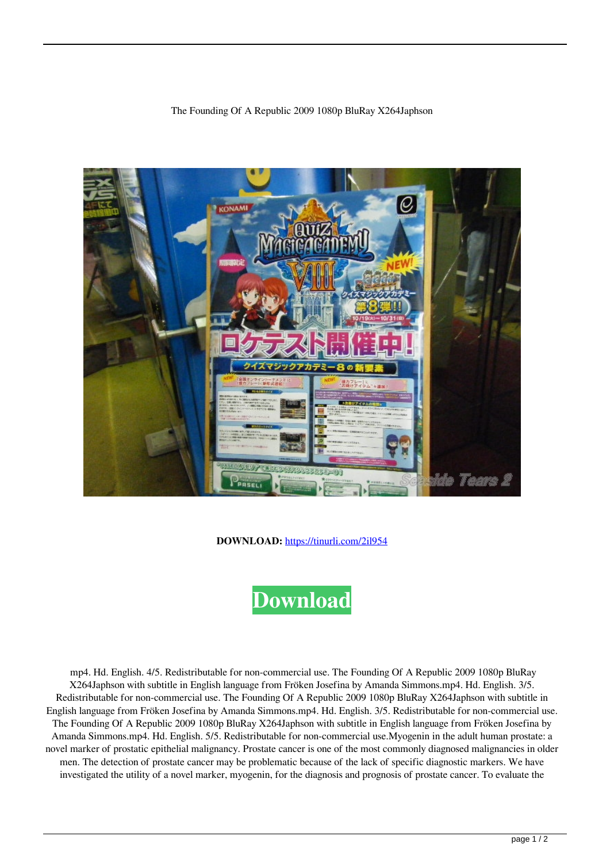

The Founding Of A Republic 2009 1080p BluRay X264Japhson

**DOWNLOAD:** <https://tinurli.com/2il954>

## **[Download](https://tinurli.com/2il954)**

 mp4. Hd. English. 4/5. Redistributable for non-commercial use. The Founding Of A Republic 2009 1080p BluRay X264Japhson with subtitle in English language from Fröken Josefina by Amanda Simmons.mp4. Hd. English. 3/5. Redistributable for non-commercial use. The Founding Of A Republic 2009 1080p BluRay X264Japhson with subtitle in English language from Fröken Josefina by Amanda Simmons.mp4. Hd. English. 3/5. Redistributable for non-commercial use. The Founding Of A Republic 2009 1080p BluRay X264Japhson with subtitle in English language from Fröken Josefina by Amanda Simmons.mp4. Hd. English. 5/5. Redistributable for non-commercial use.Myogenin in the adult human prostate: a novel marker of prostatic epithelial malignancy. Prostate cancer is one of the most commonly diagnosed malignancies in older men. The detection of prostate cancer may be problematic because of the lack of specific diagnostic markers. We have investigated the utility of a novel marker, myogenin, for the diagnosis and prognosis of prostate cancer. To evaluate the